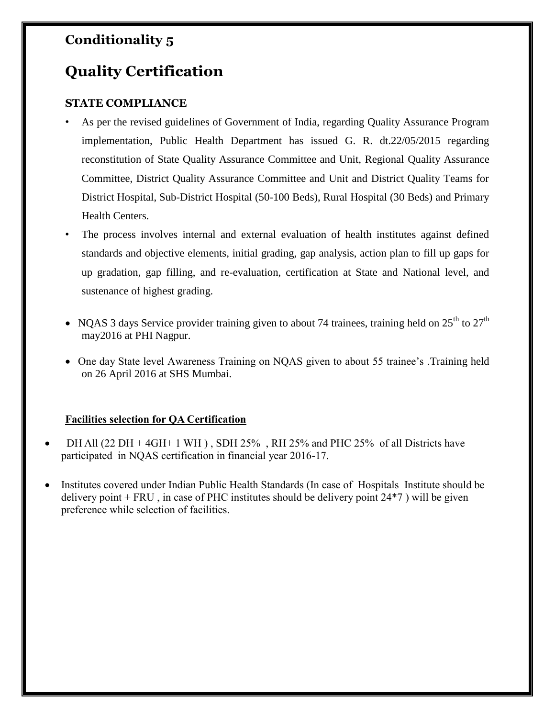## **Conditionality 5**

## **Quality Certification**

## **STATE COMPLIANCE**

- As per the revised guidelines of Government of India, regarding Quality Assurance Program implementation, Public Health Department has issued G. R. dt.22/05/2015 regarding reconstitution of State Quality Assurance Committee and Unit, Regional Quality Assurance Committee, District Quality Assurance Committee and Unit and District Quality Teams for District Hospital, Sub-District Hospital (50-100 Beds), Rural Hospital (30 Beds) and Primary Health Centers.
- The process involves internal and external evaluation of health institutes against defined standards and objective elements, initial grading, gap analysis, action plan to fill up gaps for up gradation, gap filling, and re-evaluation, certification at State and National level, and sustenance of highest grading.
- NQAS 3 days Service provider training given to about 74 trainees, training held on  $25^{th}$  to  $27^{th}$ may2016 at PHI Nagpur.
- One day State level Awareness Training on NQAS given to about 55 trainee's .Training held on 26 April 2016 at SHS Mumbai.

## **Facilities selection for QA Certification**

- DH All (22 DH + 4GH+ 1 WH ) , SDH 25% , RH 25% and PHC 25% of all Districts have participated in NQAS certification in financial year 2016-17.
- Institutes covered under Indian Public Health Standards (In case of Hospitals Institute should be delivery point  $+$  FRU, in case of PHC institutes should be delivery point  $24*7$  ) will be given preference while selection of facilities.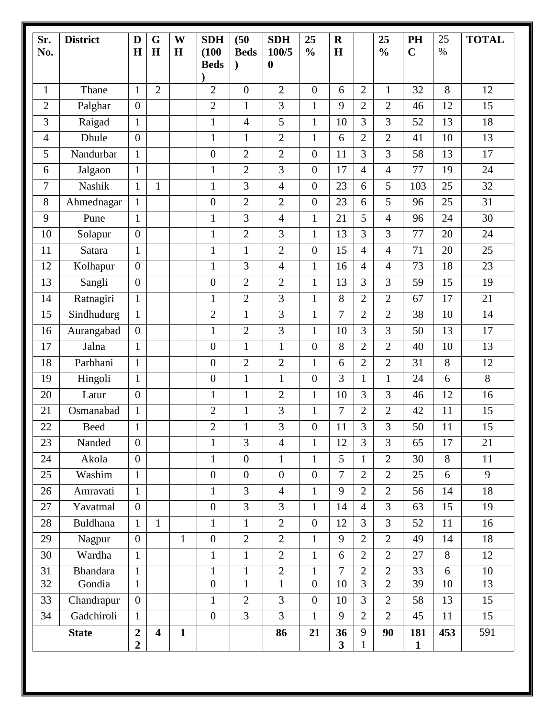| Sr.<br>No.     | <b>District</b>             | D<br>$\bf H$                       | G<br>H                  | W<br>H       | <b>SDH</b><br>(100)<br><b>Beds</b> | (50)<br><b>Beds</b><br>$\lambda$ | <b>SDH</b><br>100/5<br>$\boldsymbol{0}$ | 25<br>$\frac{0}{0}$              | $\mathbf R$<br>H              |                                  | 25<br>$\frac{0}{0}$            | PH<br>$\mathbf C$   | 25<br>$\%$ | <b>TOTAL</b> |
|----------------|-----------------------------|------------------------------------|-------------------------|--------------|------------------------------------|----------------------------------|-----------------------------------------|----------------------------------|-------------------------------|----------------------------------|--------------------------------|---------------------|------------|--------------|
| $\mathbf{1}$   | Thane                       | $\mathbf{1}$                       | $\overline{2}$          |              | 2                                  | $\overline{0}$                   | $\overline{2}$                          | $\overline{0}$                   | 6                             | 2                                | $\mathbf{1}$                   | 32                  | 8          | 12           |
| $\overline{2}$ |                             | $\overline{0}$                     |                         |              | $\overline{2}$                     | 1                                | 3                                       | $\mathbf{1}$                     | 9                             | $\overline{2}$                   | $\overline{2}$                 | 46                  | 12         | 15           |
| 3              | Palghar<br>Raigad           | $\mathbf{1}$                       |                         |              | $\mathbf{1}$                       | 4                                | 5                                       | $\mathbf{1}$                     | 10                            | 3                                | 3                              | 52                  | 13         | 18           |
| 4              | Dhule                       | $\overline{0}$                     |                         |              | 1                                  | $\mathbf{1}$                     | $\overline{2}$                          | $\mathbf{1}$                     | 6                             | 2                                | $\overline{2}$                 | 41                  | 10         | 13           |
| 5              | Nandurbar                   | $\mathbf{1}$                       |                         |              | $\boldsymbol{0}$                   | $\overline{2}$                   | $\overline{2}$                          | $\overline{0}$                   | 11                            | 3                                | 3                              | 58                  | 13         | 17           |
| 6              | Jalgaon                     | $\mathbf{1}$                       |                         |              | $\mathbf{1}$                       | $\overline{2}$                   | 3                                       | $\overline{0}$                   | 17                            | $\overline{4}$                   | $\overline{4}$                 | 77                  | 19         | 24           |
| 7              | Nashik                      | $\mathbf{1}$                       | $\mathbf{1}$            |              | $\mathbf{1}$                       | 3                                | 4                                       | $\boldsymbol{0}$                 | 23                            | 6                                | 5                              | 103                 | 25         | 32           |
| 8              | Ahmednagar                  | $\mathbf{1}$                       |                         |              | $\boldsymbol{0}$                   | $\overline{2}$                   | $\overline{2}$                          | $\overline{0}$                   | 23                            | 6                                | 5                              | 96                  | 25         | 31           |
| 9              | Pune                        | $\mathbf{1}$                       |                         |              | $\mathbf{1}$                       | 3                                | $\overline{4}$                          | $\mathbf{1}$                     | 21                            | 5                                | $\overline{4}$                 | 96                  | 24         | 30           |
| 10             | Solapur                     | $\boldsymbol{0}$                   |                         |              | $\mathbf{1}$                       | $\overline{2}$                   | 3                                       | $\mathbf{1}$                     | 13                            | 3                                | 3                              | 77                  | 20         | 24           |
| 11             | Satara                      | $\mathbf{1}$                       |                         |              | $\mathbf{1}$                       | $\mathbf{1}$                     | $\mathbf{2}$                            | $\overline{0}$                   | 15                            | $\overline{4}$                   | $\overline{4}$                 | 71                  | 20         | 25           |
| 12             | Kolhapur                    | $\mathbf{0}$                       |                         |              | $\mathbf{1}$                       | 3                                | 4                                       | $\mathbf{1}$                     | 16                            | $\overline{4}$                   | $\overline{4}$                 | 73                  | 18         | 23           |
| 13             | Sangli                      | $\boldsymbol{0}$                   |                         |              | $\overline{0}$                     | $\overline{2}$                   | $\overline{2}$                          | $\mathbf{1}$                     | 13                            | 3                                | 3                              | 59                  | 15         | 19           |
| 14             | Ratnagiri                   | $\mathbf{1}$                       |                         |              | $\mathbf{1}$                       | $\overline{2}$                   | 3                                       | $\mathbf{1}$                     | 8                             | $\overline{2}$                   | $\overline{2}$                 | 67                  | 17         | 21           |
| 15             | Sindhudurg                  | $\mathbf{1}$                       |                         |              | $\overline{2}$                     | $\mathbf{1}$                     | 3                                       | $\mathbf{1}$                     | $\overline{7}$                | $\overline{2}$                   | $\overline{2}$                 | 38                  | 10         | 14           |
| 16             |                             | $\overline{0}$                     |                         |              | $\mathbf{1}$                       | $\overline{2}$                   | 3                                       | $\mathbf{1}$                     | 10                            | 3                                | 3                              | 50                  | 13         | 17           |
| 17             | Aurangabad<br>Jalna         | $\mathbf{1}$                       |                         |              | $\boldsymbol{0}$                   | $\mathbf{1}$                     | $\mathbf{1}$                            | $\overline{0}$                   | 8                             | $\overline{2}$                   | $\overline{2}$                 | 40                  | 10         | 13           |
| 18             | Parbhani                    | $\mathbf{1}$                       |                         |              | $\boldsymbol{0}$                   | $\overline{2}$                   | $\overline{2}$                          | $\mathbf{1}$                     | 6                             | $\overline{2}$                   | $\overline{2}$                 | 31                  | 8          | 12           |
| 19             | Hingoli                     | $\mathbf{1}$                       |                         |              | $\boldsymbol{0}$                   | $\mathbf{1}$                     | $\mathbf{1}$                            | $\overline{0}$                   | 3                             | 1                                | $\mathbf{1}$                   | 24                  | 6          | 8            |
| 20             | Latur                       | $\mathbf{0}$                       |                         |              | $\mathbf{1}$                       | $\mathbf{1}$                     | $\overline{2}$                          | $\mathbf{1}$                     | 10                            | 3                                | 3                              | 46                  | 12         | 16           |
|                |                             |                                    |                         |              |                                    |                                  |                                         |                                  | 7                             |                                  |                                | 42                  | 11         | 15           |
| 21<br>22       | Osmanabad                   | $\mathbf{1}$                       |                         |              | $\overline{2}$                     | 1                                | 3                                       | $\mathbf{1}$                     |                               | 2<br>3                           | 2<br>3                         | 50                  | 11         | 15           |
| 23             | <b>Beed</b>                 | $\mathbf{1}$<br>$\overline{0}$     |                         |              | $\overline{2}$<br>$\mathbf{1}$     | 1<br>3                           | 3<br>$\overline{4}$                     | $\boldsymbol{0}$<br>$\mathbf{1}$ | 11<br>12                      | $\overline{3}$                   | $\overline{3}$                 | 65                  | 17         | 21           |
| 24             | Nanded<br>Akola             | $\overline{0}$                     |                         |              |                                    | $\boldsymbol{0}$                 | $\mathbf{1}$                            | $\mathbf{1}$                     | 5                             | $\mathbf{1}$                     | $\overline{2}$                 | 30                  | 8          | 11           |
| 25             | Washim                      | $\mathbf{1}$                       |                         |              | $\mathbf{1}$<br>$\boldsymbol{0}$   | $\boldsymbol{0}$                 | $\boldsymbol{0}$                        | $\overline{0}$                   | $\overline{7}$                | $\overline{2}$                   | $\overline{2}$                 | 25                  | 6          | 9            |
| 26             |                             | $\mathbf{1}$                       |                         |              |                                    | 3                                |                                         | $\mathbf{1}$                     | 9                             | $\overline{2}$                   | $\overline{2}$                 | 56                  | 14         | 18           |
| 27             | Amravati                    | $\overline{0}$                     |                         |              | $\mathbf{1}$<br>$\boldsymbol{0}$   | $\overline{3}$                   | $\overline{4}$<br>3                     |                                  | 14                            | $\overline{4}$                   | $\overline{3}$                 | 63                  | 15         | 19           |
| 28             | Yavatmal<br><b>Buldhana</b> | $\mathbf{1}$                       | $\mathbf{1}$            |              | $\mathbf{1}$                       | $\mathbf{1}$                     | $\overline{2}$                          | $\mathbf{1}$<br>$\overline{0}$   | 12                            | $\overline{3}$                   | $\overline{3}$                 | 52                  | 11         | 16           |
| 29             |                             | $\overline{0}$                     |                         | $\mathbf{1}$ | $\boldsymbol{0}$                   | $\overline{2}$                   | $\overline{2}$                          | $\mathbf{1}$                     | 9                             | $\overline{2}$                   | $\overline{2}$                 | 49                  | 14         | 18           |
|                | Nagpur                      | $\mathbf{1}$                       |                         |              |                                    | $\mathbf{1}$                     | $\overline{2}$                          | $\mathbf{1}$                     |                               | $\overline{2}$                   | $\overline{2}$                 | 27                  | 8          |              |
| 30             | Wardha                      |                                    |                         |              | $\mathbf{1}$                       |                                  |                                         |                                  | 6                             |                                  |                                |                     |            | 12           |
| 31<br>32       | <b>Bhandara</b><br>Gondia   | $\mathbf{1}$<br>$\mathbf{1}$       |                         |              | $\mathbf{1}$<br>$\boldsymbol{0}$   | $\mathbf{1}$<br>$\mathbf{1}$     | $\sqrt{2}$<br>$\mathbf{1}$              | $\mathbf{1}$<br>$\overline{0}$   | 7<br>10                       | $\overline{2}$<br>$\overline{3}$ | $\mathbf{2}$<br>$\overline{2}$ | 33<br>39            | 6<br>10    | 10<br>13     |
| 33             | Chandrapur                  | $\overline{0}$                     |                         |              | $\mathbf{1}$                       | $\overline{2}$                   | 3                                       | $\overline{0}$                   | 10                            | 3                                | $\overline{2}$                 | 58                  | 13         | 15           |
| 34             | Gadchiroli                  | $\mathbf{1}$                       |                         |              | $\boldsymbol{0}$                   | $\overline{3}$                   | 3                                       | $\mathbf{1}$                     | 9                             | $\overline{2}$                   | $\overline{2}$                 | 45                  | $11\,$     | 15           |
| <b>State</b>   |                             | $\overline{2}$<br>$\boldsymbol{2}$ | $\overline{\mathbf{4}}$ | $\mathbf{1}$ |                                    |                                  | 86                                      | 21                               | 36<br>$\overline{\mathbf{3}}$ | 9<br>$\mathbf{1}$                | 90                             | 181<br>$\mathbf{1}$ | 453        | 591          |